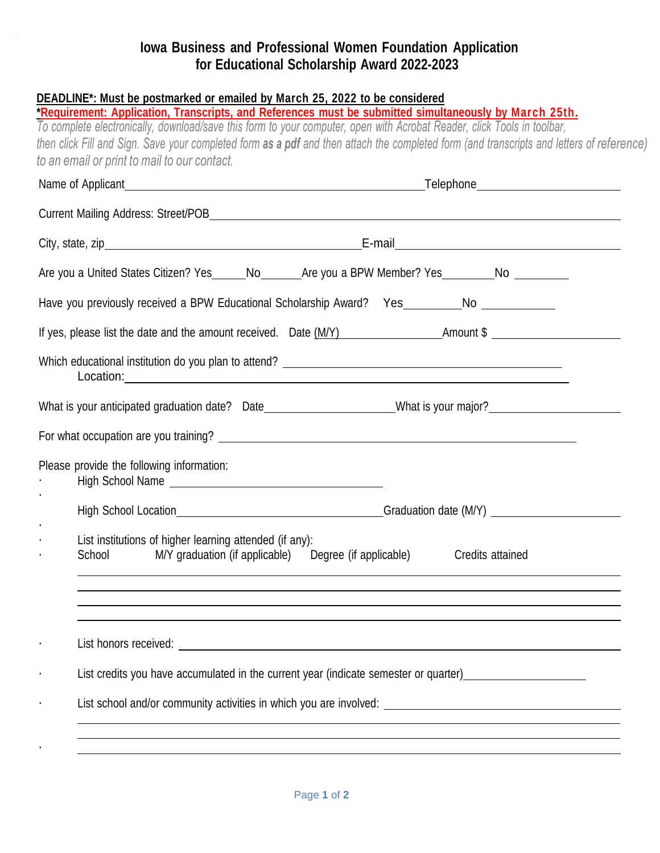## **Iowa Business and Professional Women Foundation Application for Educational Scholarship Award 2022-2023**

| DEADLINE*: Must be postmarked or emailed by March 25, 2022 to be considered<br>*Requirement: Application, Transcripts, and References must be submitted simultaneously by March 25th.<br>To complete electronically, download/save this form to your computer, open with Acrobat Reader, click Tools in toolbar,<br>then click Fill and Sign. Save your completed form as a pdf and then attach the completed form (and transcripts and letters of reference) |  |
|---------------------------------------------------------------------------------------------------------------------------------------------------------------------------------------------------------------------------------------------------------------------------------------------------------------------------------------------------------------------------------------------------------------------------------------------------------------|--|
| to an email or print to mail to our contact.                                                                                                                                                                                                                                                                                                                                                                                                                  |  |
|                                                                                                                                                                                                                                                                                                                                                                                                                                                               |  |
|                                                                                                                                                                                                                                                                                                                                                                                                                                                               |  |
|                                                                                                                                                                                                                                                                                                                                                                                                                                                               |  |
| Are you a United States Citizen? Yes______No_________Are you a BPW Member? Yes_________No __________                                                                                                                                                                                                                                                                                                                                                          |  |
| Have you previously received a BPW Educational Scholarship Award? Yes________No ___________                                                                                                                                                                                                                                                                                                                                                                   |  |
| If yes, please list the date and the amount received. Date (M/Y) Amount \$                                                                                                                                                                                                                                                                                                                                                                                    |  |
| Location:                                                                                                                                                                                                                                                                                                                                                                                                                                                     |  |
| What is your anticipated graduation date? Date_____________________What is your major?________________________                                                                                                                                                                                                                                                                                                                                                |  |
|                                                                                                                                                                                                                                                                                                                                                                                                                                                               |  |
| Please provide the following information:                                                                                                                                                                                                                                                                                                                                                                                                                     |  |
|                                                                                                                                                                                                                                                                                                                                                                                                                                                               |  |
| List institutions of higher learning attended (if any):<br>School M/Y graduation (if applicable) Degree (if applicable) Credits attained                                                                                                                                                                                                                                                                                                                      |  |
|                                                                                                                                                                                                                                                                                                                                                                                                                                                               |  |
|                                                                                                                                                                                                                                                                                                                                                                                                                                                               |  |
| List credits you have accumulated in the current year (indicate semester or quarter)                                                                                                                                                                                                                                                                                                                                                                          |  |
|                                                                                                                                                                                                                                                                                                                                                                                                                                                               |  |
|                                                                                                                                                                                                                                                                                                                                                                                                                                                               |  |